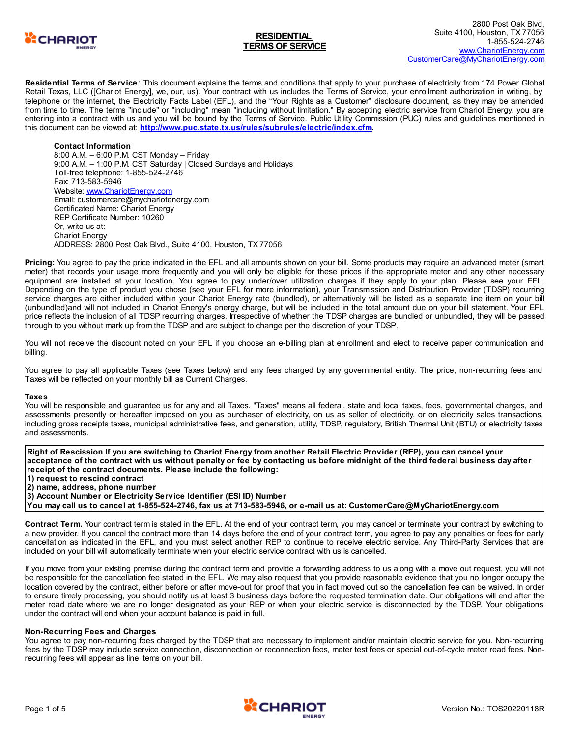

**Residential Terms of Service** : This document explains the terms and conditions that apply to your purchase of electricity from 174 Power Global Retail Texas, LLC ([Chariot Energy], we, our, us). Your contract with us includes the Terms of Service, your enrollment authorization in writing, by telephone or the internet, the Electricity Facts Label (EFL), and the "Your Rights as a Customer" disclosure document, as they may be amended from time to time. The terms "include" or "including" mean "including without limitation." By accepting electric service from Chariot Energy, you are entering into a contract with us and you will be bound by the Terms of Service. Public Utility Commission (PUC) rules and guidelines mentioned in this document can be viewed at: **<http://www.puc.state.tx.us/rules/subrules/electric/index.cfm>.**

## **Contact Information**

8:00 A.M. – 6:00 P.M. CST Monday – Friday 9:00 A.M. – 1:00 P.M. CST Saturday | Closed Sundays and Holidays Toll-free telephone: 1-855-524-2746 Fax: 713-583-5946 Website: [www.ChariotEnergy.com](http://www.chariotenergy.com) Email: customercare@mychariotenergy.com Certificated Name: Chariot Energy REP Certificate Number: 10260 Or, write us at: Chariot Energy ADDRESS: 2800 Post Oak Blvd., Suite 4100, Houston, TX 77056

**Pricing:** You agree to pay the price indicated in the EFL and all amounts shown on your bill. Some products may require an advanced meter (smart meter) that records your usage more frequently and you will only be eligible for these prices if the appropriate meter and any other necessary equipment are installed at your location. You agree to pay under/over utilization charges if they apply to your plan. Please see your EFL. Depending on the type of product you chose (see your EFL for more information), your Transmission and Distribution Provider (TDSP) recurring service charges are either included within your Chariot Energy rate (bundled), or alternatively will be listed as a separate line item on your bill (unbundled)and will not included in Chariot Energy's energy charge, but will be included in the total amount due on your bill statement. Your EFL price reflects the inclusion of all TDSP recurring charges. Irrespective of whether the TDSP charges are bundled or unbundled, they will be passed through to you without mark up from the TDSP and are subject to change per the discretion of your TDSP.

You will not receive the discount noted on your EFL if you choose an e-billing plan at enrollment and elect to receive paper communication and billing.

You agree to pay all applicable Taxes (see Taxes below) and any fees charged by any governmental entity. The price, non-recurring fees and Taxes will be reflected on your monthly bill as Current Charges.

### **Taxes**

You will be responsible and guarantee us for any and all Taxes. "Taxes" means all federal, state and local taxes, fees, governmental charges, and assessments presently or hereafter imposed on you as purchaser of electricity, on us as seller of electricity, or on electricity sales transactions, including gross receipts taxes, municipal administrative fees, and generation, utility, TDSP, regulatory, British Thermal Unit (BTU) or electricity taxes and assessments.

Right of Rescission If you are switching to Chariot Energy from another Retail Electric Provider (REP), you can cancel your acceptance of the contract with us without penalty or fee by contacting us before midnight of the third federal business day after **receipt of the contract documents. Please include the following: 1) request to rescind contract 2) name, address, phone number 3) Account Number or Electricity Service Identifier (ESI ID) Number**

You may call us to cancel at 1-855-524-2746, fax us at 713-583-5946, or e-mail us at: CustomerCare@MyChariotEnergy.com

**Contract Term.** Your contract term is stated in the EFL. At the end of your contract term, you may cancel or terminate your contract by switching to a new provider. If you cancel the contract more than 14 days before the end of your contract term, you agree to pay any penalties or fees for early cancellation as indicated in the EFL, and you must select another REP to continue to receive electric service. Any Third-Party Services that are included on your bill will automatically terminate when your electric service contract with us is cancelled.

If you move from your existing premise during the contract term and provide a forwarding address to us along with a move out request, you will not be responsible for the cancellation fee stated in the EFL. We may also request that you provide reasonable evidence that you no longer occupy the location covered by the contract, either before or after move-out for proof that you in fact moved out so the cancellation fee can be waived. In order to ensure timely processing, you should notify us at least 3 business days before the requested termination date. Our obligations will end after the meter read date where we are no longer designated as your REP or when your electric service is disconnected by the TDSP. Your obligations under the contract will end when your account balance is paid in full.

### **Non-Recurring Fees and Charges**

You agree to pay non-recurring fees charged by the TDSP that are necessary to implement and/or maintain electric service for you. Non-recurring fees by the TDSP may include service connection, disconnection or reconnection fees, meter test fees or special out-of-cycle meter read fees. Nonrecurring fees will appear as line items on your bill.

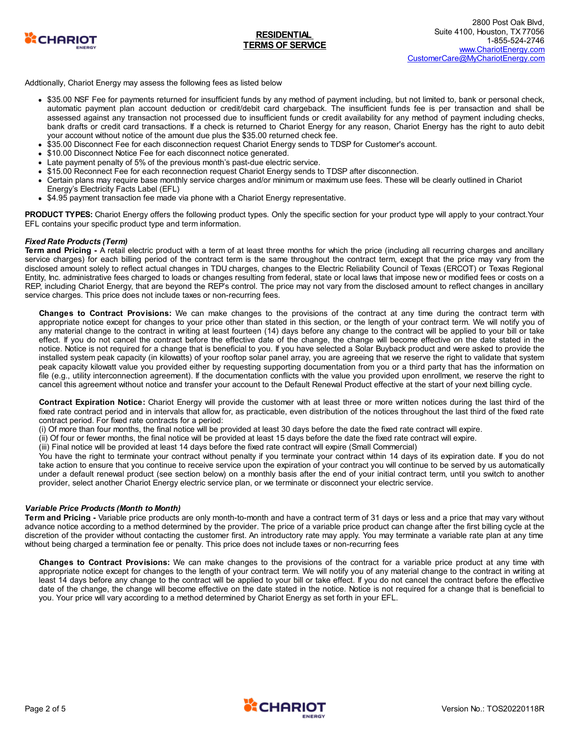

Addtionally, Chariot Energy may assess the following fees as listed below

- \$35.00 NSF Fee for payments returned for insufficient funds by any method of payment including, but not limited to, bank or personal check, automatic payment plan account deduction or credit/debit card chargeback. The insufficient funds fee is per transaction and shall be assessed against any transaction not processed due to insufficient funds or credit availability for any method of payment including checks, bank drafts or credit card transactions. If a check is returned to Chariot Energy for any reason, Chariot Energy has the right to auto debit your account without notice of the amount due plus the \$35.00 returned check fee.
- \$35.00 Disconnect Fee for each disconnection request Chariot Energy sends to TDSP for Customer's account.
- \$10.00 Disconnect Notice Fee for each disconnect notice generated.
- $\bullet$ Late payment penalty of 5% of the previous month's past-due electric service.
- \$15.00 Reconnect Fee for each reconnection request Chariot Energy sends to TDSP after disconnection.  $\bullet$
- Certain plans may require base monthly service charges and/or minimum or maximum use fees. These will be clearly outlined in Chariot
- Energy's Electricity Facts Label (EFL)
- \$4.95 payment transaction fee made via phone with a Chariot Energy representative.

**PRODUCT TYPES:** Chariot Energy offers the following product types. Only the specific section for your product type will apply to your contract.Your EFL contains your specific product type and term information.

## *Fixed Rate Products (Term)*

**Term and Pricing -** A retail electric product with a term of at least three months for which the price (including all recurring charges and ancillary service charges) for each billing period of the contract term is the same throughout the contract term, except that the price may vary from the disclosed amount solely to reflect actual changes in TDU charges, changes to the Electric Reliability Council of Texas (ERCOT) or Texas Regional Entity, Inc. administrative fees charged to loads or changes resulting from federal, state or local laws that impose new or modified fees or costs on a REP, including Chariot Energy, that are beyond the REP's control. The price may not vary from the disclosed amount to reflect changes in ancillary service charges. This price does not include taxes or non-recurring fees.

**Changes to Contract Provisions:** We can make changes to the provisions of the contract at any time during the contract term with appropriate notice except for changes to your price other than stated in this section, or the length of your contract term. We will notify you of any material change to the contract in writing at least fourteen (14) days before any change to the contract will be applied to your bill or take effect. If you do not cancel the contract before the effective date of the change, the change will become effective on the date stated in the notice. Notice is not required for a change that is beneficial to you. If you have selected a Solar Buyback product and were asked to provide the installed system peak capacity (in kilowatts) of your rooftop solar panel array, you are agreeing that we reserve the right to validate that system peak capacity kilowatt value you provided either by requesting supporting documentation from you or a third party that has the information on file (e.g., utility interconnection agreement). If the documentation conflicts with the value you provided upon enrollment, we reserve the right to cancel this agreement without notice and transfer your account to the Default Renewal Product effective at the start of your next billing cycle.

**Contract Expiration Notice:** Chariot Energy will provide the customer with at least three or more written notices during the last third of the fixed rate contract period and in intervals that allow for, as practicable, even distribution of the notices throughout the last third of the fixed rate contract period. For fixed rate contracts for a period:

(i) Of more than four months, the final notice will be provided at least 30 days before the date the fixed rate contract will expire.

- (ii) Of four or fewer months, the final notice will be provided at least 15 days before the date the fixed rate contract will expire.
- (iii) Final notice will be provided at least 14 days before the fixed rate contract will expire (Small Commercial)

You have the right to terminate your contract without penalty if you terminate your contract within 14 days of its expiration date. If you do not take action to ensure that you continue to receive service upon the expiration of your contract you will continue to be served by us automatically under a default renewal product (see section below) on a monthly basis after the end of your initial contract term, until you switch to another provider, select another Chariot Energy electric service plan, or we terminate or disconnect your electric service.

### *Variable Price Products (Month to Month)*

**Term and Pricing -** Variable price products are only month-to-month and have a contract term of 31 days or less and a price that may vary without advance notice according to a method determined by the provider. The price of a variable price product can change after the first billing cycle at the discretion of the provider without contacting the customer first. An introductory rate may apply. You may terminate a variable rate plan at any time without being charged a termination fee or penalty. This price does not include taxes or non-recurring fees

**Changes to Contract Provisions:** We can make changes to the provisions of the contract for a variable price product at any time with appropriate notice except for changes to the length of your contract term. We will notify you of any material change to the contract in writing at least 14 days before any change to the contract will be applied to your bill or take effect. If you do not cancel the contract before the effective date of the change, the change will become effective on the date stated in the notice. Notice is not required for a change that is beneficial to you. Your price will vary according to a method determined by Chariot Energy as set forth in your EFL.

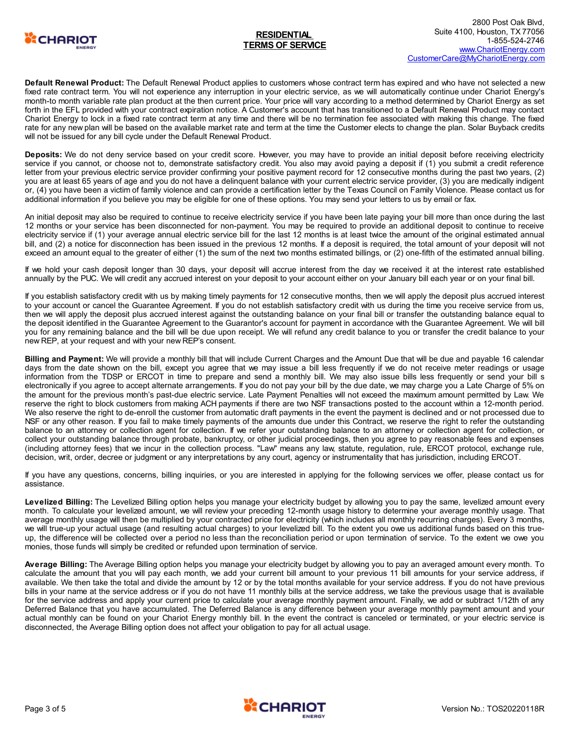

**Default Renewal Product:** The Default Renewal Product applies to customers whose contract term has expired and who have not selected a new fixed rate contract term. You will not experience any interruption in your electric service, as we will automatically continue under Chariot Energy's month-to month variable rate plan product at the then current price. Your price will vary according to a method determined by Chariot Energy as set forth in the EFL provided with your contract expiration notice. A Customer's account that has transitioned to a Default Renewal Product may contact Chariot Energy to lock in a fixed rate contract term at any time and there will be no termination fee associated with making this change. The fixed rate for any new plan will be based on the available market rate and term at the time the Customer elects to change the plan. Solar Buyback credits will not be issued for any bill cycle under the Default Renewal Product.

**Deposits:** We do not deny service based on your credit score. However, you may have to provide an initial deposit before receiving electricity service if you cannot, or choose not to, demonstrate satisfactory credit. You also may avoid paying a deposit if (1) you submit a credit reference letter from your previous electric service provider confirming your positive payment record for 12 consecutive months during the past two years, (2) you are at least 65 years of age and you do not have a delinquent balance with your current electric service provider, (3) you are medically indigent or, (4) you have been a victim of family violence and can provide a certification letter by the Texas Council on Family Violence. Please contact us for additional information if you believe you may be eligible for one of these options. You may send your letters to us by email or fax.

An initial deposit may also be required to continue to receive electricity service if you have been late paying your bill more than once during the last 12 months or your service has been disconnected for non-payment. You may be required to provide an additional deposit to continue to receive electricity service if (1) your average annual electric service bill for the last 12 months is at least twice the amount of the original estimated annual bill, and (2) a notice for disconnection has been issued in the previous 12 months. If a deposit is required, the total amount of your deposit will not exceed an amount equal to the greater of either (1) the sum of the next two months estimated billings, or (2) one-fifth of the estimated annual billing.

If we hold your cash deposit longer than 30 days, your deposit will accrue interest from the day we received it at the interest rate established annually by the PUC. We will credit any accrued interest on your deposit to your account either on your January bill each year or on your final bill.

If you establish satisfactory credit with us by making timely payments for 12 consecutive months, then we will apply the deposit plus accrued interest to your account or cancel the Guarantee Agreement. If you do not establish satisfactory credit with us during the time you receive service from us, then we will apply the deposit plus accrued interest against the outstanding balance on your final bill or transfer the outstanding balance equal to the deposit identified in the Guarantee Agreement to the Guarantor's account for payment in accordance with the Guarantee Agreement. We will bill you for any remaining balance and the bill will be due upon receipt. We will refund any credit balance to you or transfer the credit balance to your new REP, at your request and with your new REP's consent.

**Billing and Payment:** We will provide a monthly bill that will include Current Charges and the Amount Due that will be due and payable 16 calendar days from the date shown on the bill, except you agree that we may issue a bill less frequently if we do not receive meter readings or usage information from the TDSP or ERCOT in time to prepare and send a monthly bill. We may also issue bills less frequently or send your bill s electronically if you agree to accept alternate arrangements. If you do not pay your bill by the due date, we may charge you a Late Charge of 5% on the amount for the previous month's past-due electric service. Late Payment Penalties will not exceed the maximum amount permitted by Law. We reserve the right to block customers from making ACH payments if there are two NSF transactions posted to the account within a 12-month period. We also reserve the right to de-enroll the customer from automatic draft payments in the event the payment is declined and or not processed due to NSF or any other reason. If you fail to make timely payments of the amounts due under this Contract, we reserve the right to refer the outstanding balance to an attorney or collection agent for collection. If we refer your outstanding balance to an attorney or collection agent for collection, or collect your outstanding balance through probate, bankruptcy, or other judicial proceedings, then you agree to pay reasonable fees and expenses (including attorney fees) that we incur in the collection process. "Law" means any law, statute, regulation, rule, ERCOT protocol, exchange rule, decision, writ, order, decree or judgment or any interpretations by any court, agency or instrumentality that has jurisdiction, including ERCOT.

If you have any questions, concerns, billing inquiries, or you are interested in applying for the following services we offer, please contact us for assistance.

**Levelized Billing:** The Levelized Billing option helps you manage your electricity budget by allowing you to pay the same, levelized amount every month. To calculate your levelized amount, we will review your preceding 12-month usage history to determine your average monthly usage. That average monthly usage will then be multiplied by your contracted price for electricity (which includes all monthly recurring charges). Every 3 months, we will true-up your actual usage (and resulting actual charges) to your levelized bill. To the extent you owe us additional funds based on this trueup, the difference will be collected over a period no less than the reconciliation period or upon termination of service. To the extent we owe you monies, those funds will simply be credited or refunded upon termination of service.

**Average Billing:** The Average Billing option helps you manage your electricity budget by allowing you to pay an averaged amount every month. To calculate the amount that you will pay each month, we add your current bill amount to your previous 11 bill amounts for your service address, if available. We then take the total and divide the amount by 12 or by the total months available for your service address. If you do not have previous bills in your name at the service address or if you do not have 11 monthly bills at the service address, we take the previous usage that is available for the service address and apply your current price to calculate your average monthly payment amount. Finally, we add or subtract 1/12th of any Deferred Balance that you have accumulated. The Deferred Balance is any difference between your average monthly payment amount and your actual monthly can be found on your Chariot Energy monthly bill. In the event the contract is canceled or terminated, or your electric service is disconnected, the Average Billing option does not affect your obligation to pay for all actual usage.

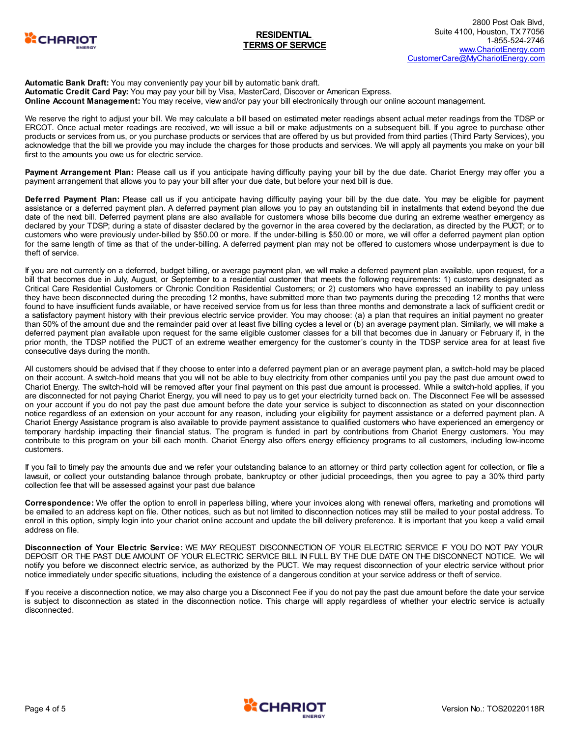

### **Automatic Bank Draft:** You may conveniently pay your bill by automatic bank draft. **Automatic Credit Card Pay:** You may pay your bill by Visa, MasterCard, Discover or American Express. **Online Account Management:** You may receive, view and/or pay your bill electronically through our online account management.

We reserve the right to adjust your bill. We may calculate a bill based on estimated meter readings absent actual meter readings from the TDSP or ERCOT. Once actual meter readings are received, we will issue a bill or make adjustments on a subsequent bill. If you agree to purchase other products or services from us, or you purchase products or services that are offered by us but provided from third parties (Third Party Services), you acknowledge that the bill we provide you may include the charges for those products and services. We will apply all payments you make on your bill first to the amounts you owe us for electric service.

**Payment Arrangement Plan:** Please call us if you anticipate having difficulty paying your bill by the due date. Chariot Energy may offer you a payment arrangement that allows you to pay your bill after your due date, but before your next bill is due.

**Deferred Payment Plan:** Please call us if you anticipate having difficulty paying your bill by the due date. You may be eligible for payment assistance or a deferred payment plan. A deferred payment plan allows you to pay an outstanding bill in installments that extend beyond the due date of the next bill. Deferred payment plans are also available for customers whose bills become due during an extreme weather emergency as declared by your TDSP; during a state of disaster declared by the governor in the area covered by the declaration, as directed by the PUCT; or to customers who were previously under-billed by \$50.00 or more. If the under-billing is \$50.00 or more, we will offer a deferred payment plan option for the same length of time as that of the under-billing. A deferred payment plan may not be offered to customers whose underpayment is due to theft of service.

If you are not currently on a deferred, budget billing, or average payment plan, we will make a deferred payment plan available, upon request, for a bill that becomes due in July, August, or September to a residential customer that meets the following requirements: 1) customers designated as Critical Care Residential Customers or Chronic Condition Residential Customers; or 2) customers who have expressed an inability to pay unless they have been disconnected during the preceding 12 months, have submitted more than two payments during the preceding 12 months that were found to have insufficient funds available, or have received service from us for less than three months and demonstrate a lack of sufficient credit or a satisfactory payment history with their previous electric service provider. You may choose: (a) a plan that requires an initial payment no greater than 50% of the amount due and the remainder paid over at least five billing cycles a level or (b) an average payment plan. Similarly, we will make a deferred payment plan available upon request for the same eligible customer classes for a bill that becomes due in January or February if, in the prior month, the TDSP notified the PUCT of an extreme weather emergency for the customer's county in the TDSP service area for at least five consecutive days during the month.

All customers should be advised that if they choose to enter into a deferred payment plan or an average payment plan, a switch-hold may be placed on their account. A switch-hold means that you will not be able to buy electricity from other companies until you pay the past due amount owed to Chariot Energy. The switch-hold will be removed after your final payment on this past due amount is processed. While a switch-hold applies, if you are disconnected for not paying Chariot Energy, you will need to pay us to get your electricity turned back on. The Disconnect Fee will be assessed on your account if you do not pay the past due amount before the date your service is subject to disconnection as stated on your disconnection notice regardless of an extension on your account for any reason, including your eligibility for payment assistance or a deferred payment plan. A Chariot Energy Assistance program is also available to provide payment assistance to qualified customers who have experienced an emergency or temporary hardship impacting their financial status. The program is funded in part by contributions from Chariot Energy customers. You may contribute to this program on your bill each month. Chariot Energy also offers energy efficiency programs to all customers, including low-income customers.

If you fail to timely pay the amounts due and we refer your outstanding balance to an attorney or third party collection agent for collection, or file a lawsuit, or collect your outstanding balance through probate, bankruptcy or other judicial proceedings, then you agree to pay a 30% third party collection fee that will be assessed against your past due balance

**Correspondence:** We offer the option to enroll in paperless billing, where your invoices along with renewal offers, marketing and promotions will be emailed to an address kept on file. Other notices, such as but not limited to disconnection notices may still be mailed to your postal address. To enroll in this option, simply login into your chariot online account and update the bill delivery preference. It is important that you keep a valid email address on file.

**Disconnection of Your Electric Service:** WE MAY REQUEST DISCONNECTION OF YOUR ELECTRIC SERVICE IF YOU DO NOT PAY YOUR DEPOSIT OR THE PAST DUE AMOUNT OF YOUR ELECTRIC SERVICE BILL IN FULL BY THE DUE DATE ON THE DISCONNECT NOTICE. We will notify you before we disconnect electric service, as authorized by the PUCT. We may request disconnection of your electric service without prior notice immediately under specific situations, including the existence of a dangerous condition at your service address or theft of service.

If you receive a disconnection notice, we may also charge you a Disconnect Fee if you do not pay the past due amount before the date your service is subject to disconnection as stated in the disconnection notice. This charge will apply regardless of whether your electric service is actually disconnected.

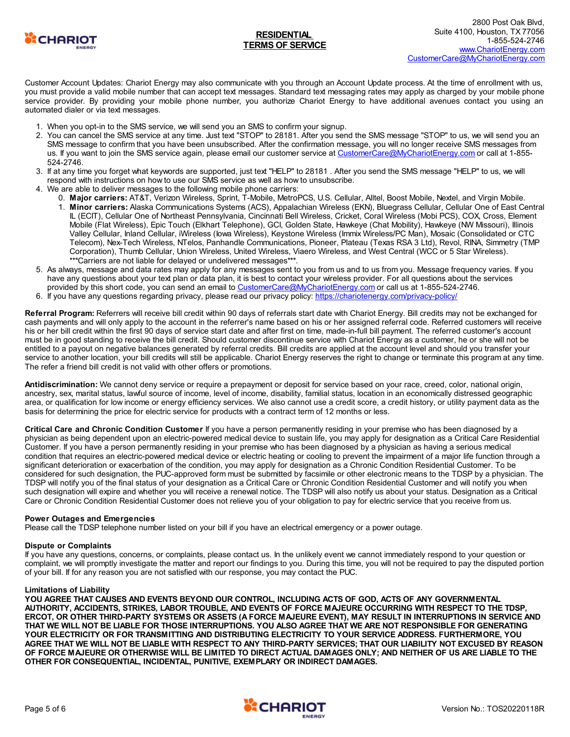

Customer Account Updates: Chariot Energy may also communicate with you through an Account Update process. At the time of enrollment with us, you must provide a valid mobile number that can accept text messages. Standard text messaging rates may apply as charged by your mobile phone service provider. By providing your mobile phone number, you authorize Chariot Energy to have additional avenues contact you using an automated dialer or via text messages.

- 1. When you opt-in to the SMS service, we will send you an SMS to confirm your signup.
- 2. You can cancel the SMS service at any time. Just text "STOP" to 28181. After you send the SMS message "STOP" to us, we will send you an SMS message to confirm that you have been unsubscribed. After the confirmation message, you will no longer receive SMS messages from us. If you want to join the SMS service again, please email our customer service at [CustomerCare@MyChariotEnergy.com](mailto:CustomerCare@MyChariotEnergy.com) or call at 1-855-524-2746.
- 3. If at any time you forget what keywords are supported, just text "HELP" to 28181 . After you send the SMS message "HELP" to us, we will respond with instructions on how to use our SMS service as well as how to unsubscribe.
- 4. We are able to deliver messages to the following mobile phone carriers:
	- 0. **Major carriers:** AT&T, Verizon Wireless, Sprint, T-Mobile, MetroPCS, U.S. Cellular, Alltel, Boost Mobile, Nextel, and Virgin Mobile.
	- 1. **Minor carriers:** Alaska Communications Systems (ACS), Appalachian Wireless (EKN), Bluegrass Cellular, Cellular One of East Central IL (ECIT), Cellular One of Northeast Pennsylvania, Cincinnati Bell Wireless, Cricket, Coral Wireless (Mobi PCS), COX, Cross, Element Mobile (Flat Wireless), Epic Touch (Elkhart Telephone), GCI, Golden State, Hawkeye (Chat Mobility), Hawkeye (NW Missouri), Illinois Valley Cellular, Inland Cellular, iWireless (Iowa Wireless), Keystone Wireless (Immix Wireless/PC Man), Mosaic (Consolidated or CTC Telecom), Nex-Tech Wireless, NTelos, Panhandle Communications, Pioneer, Plateau (Texas RSA 3 Ltd), Revol, RINA, Simmetry (TMP Corporation), Thumb Cellular, Union Wireless, United Wireless, Viaero Wireless, and West Central (WCC or 5 Star Wireless). \*\*\*Carriers are not liable for delayed or undelivered messages\*\*\*.
- 5. As always, message and data rates may apply for any messages sent to you from us and to us from you. Message frequency varies. If you have any questions about your text plan or data plan, it is best to contact your wireless provider. For all questions about the services provided by this short code, you can send an email to [CustomerCare@MyChariotEnergy.com](mailto:CustomerCare@MyChariotEnergy.com) or call us at 1-855-524-2746.
- 6. If you have any questions regarding privacy, please read our privacy policy: [https://chariotenergy.com/privacy-policy/](https://chariotenergy.com/privacy-policy)

**Referral Program:** Referrers will receive bill credit within 90 days of referrals start date with Chariot Energy. Bill credits may not be exchanged for cash payments and will only apply to the account in the referrer's name based on his or her assigned referral code. Referred customers will receive his or her bill credit within the first 90 days of service start date and after first on time, made-in-full bill payment. The referred customer's account must be in good standing to receive the bill credit. Should customer discontinue service with Chariot Energy as a customer, he or she will not be entitled to a payout on negative balances generated by referral credits. Bill credits are applied at the account level and should you transfer your service to another location, your bill credits will still be applicable. Chariot Energy reserves the right to change or terminate this program at any time. The refer a friend bill credit is not valid with other offers or promotions.

**Antidiscrimination:** We cannot deny service or require a prepayment or deposit for service based on your race, creed, color, national origin, ancestry, sex, marital status, lawful source of income, level of income, disability, familial status, location in an economically distressed geographic area, or qualification for low income or energy efficiency services. We also cannot use a credit score, a credit history, or utility payment data as the basis for determining the price for electric service for products with a contract term of 12 months or less.

**Critical Care and Chronic Condition Customer** If you have a person permanently residing in your premise who has been diagnosed by a physician as being dependent upon an electric-powered medical device to sustain life, you may apply for designation as a Critical Care Residential Customer. If you have a person permanently residing in your premise who has been diagnosed by a physician as having a serious medical condition that requires an electric-powered medical device or electric heating or cooling to prevent the impairment of a major life function through a significant deterioration or exacerbation of the condition, you may apply for designation as a Chronic Condition Residential Customer. To be considered for such designation, the PUC-approved form must be submitted by facsimile or other electronic means to the TDSP by a physician. The TDSP will notify you of the final status of your designation as a Critical Care or Chronic Condition Residential Customer and will notify you when such designation will expire and whether you will receive a renewal notice. The TDSP will also notify us about your status. Designation as a Critical Care or Chronic Condition Residential Customer does not relieve you of your obligation to pay for electric service that you receive from us.

## **Power Outages and Emergencies**

Please call the TDSP telephone number listed on your bill if you have an electrical emergency or a power outage.

## **Dispute or Complaints**

If you have any questions, concerns, or complaints, please contact us. In the unlikely event we cannot immediately respond to your question or complaint, we will promptly investigate the matter and report our findings to you. During this time, you will not be required to pay the disputed portion of your bill. If for any reason you are not satisfied with our response, you may contact the PUC.

### **Limitations of Liability**

**YOU AGREE THAT CAUSES AND EVENTS BEYOND OUR CONTROL, INCLUDING ACTS OF GOD, ACTS OF ANY GOVERNMENTAL AUTHORITY, ACCIDENTS, STRIKES, LABOR TROUBLE, AND EVENTS OF FORCE MAJEURE OCCURRING WITH RESPECT TO THE TDSP,** ERCOT, OR OTHER THIRD-PARTY SYSTEMS OR ASSETS (A FORCE MAJEURE EVENT), MAY RESULT IN INTERRUPTIONS IN SERVICE AND THAT WE WILL NOT BE LIABLE FOR THOSE INTERRUPTIONS. YOU ALSO AGREE THAT WE ARE NOT RESPONSIBLE FOR GENERATING **YOUR ELECTRICITY OR FOR TRANSMITTING AND DISTRIBUTING ELECTRICITY TO YOUR SERVICE ADDRESS. FURTHERMORE, YOU** AGREE THAT WE WILL NOT BE LIABLE WITH RESPECT TO ANY THIRD-PARTY SERVICES; THAT OUR LIABILITY NOT EXCUSED BY REASON OF FORCE MAJEURE OR OTHERWISE WILL BE LIMITED TO DIRECT ACTUAL DAMAGES ONLY; AND NEITHER OF US ARE LIABLE TO THE **OTHER FOR CONSEQUENTIAL, INCIDENTAL, PUNITIVE, EXEMPLARY OR INDIRECT DAMAGES.**